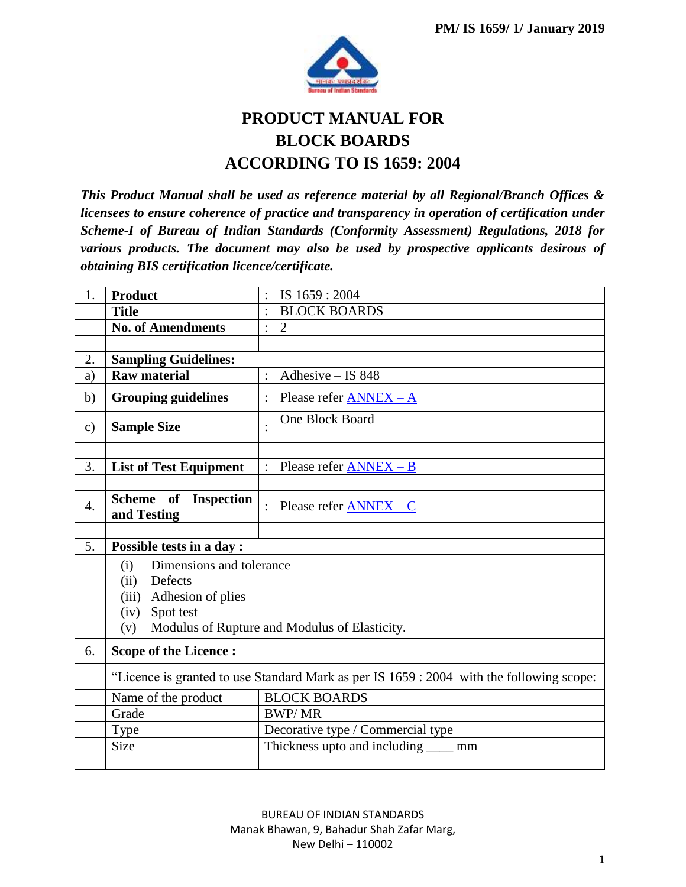

# **PRODUCT MANUAL FOR BLOCK BOARDS ACCORDING TO IS 1659: 2004**

*This Product Manual shall be used as reference material by all Regional/Branch Offices & licensees to ensure coherence of practice and transparency in operation of certification under Scheme-I of Bureau of Indian Standards (Conformity Assessment) Regulations, 2018 for various products. The document may also be used by prospective applicants desirous of obtaining BIS certification licence/certificate.*

<span id="page-0-0"></span>

| 1.            | <b>Product</b>                                                                           | IS 1659: 2004                         |                                   |  |  |  |  |  |
|---------------|------------------------------------------------------------------------------------------|---------------------------------------|-----------------------------------|--|--|--|--|--|
|               | <b>Title</b>                                                                             |                                       | <b>BLOCK BOARDS</b>               |  |  |  |  |  |
|               | <b>No. of Amendments</b>                                                                 |                                       | $\overline{2}$                    |  |  |  |  |  |
|               |                                                                                          |                                       |                                   |  |  |  |  |  |
| 2.            | <b>Sampling Guidelines:</b>                                                              |                                       |                                   |  |  |  |  |  |
| a)            | <b>Raw material</b>                                                                      |                                       | Adhesive - IS 848                 |  |  |  |  |  |
| b)            | <b>Grouping guidelines</b>                                                               |                                       | Please refer $\triangle NNEX - A$ |  |  |  |  |  |
| $\mathbf{c})$ | <b>Sample Size</b>                                                                       |                                       | One Block Board                   |  |  |  |  |  |
|               |                                                                                          |                                       |                                   |  |  |  |  |  |
| 3.            | <b>List of Test Equipment</b>                                                            |                                       | Please refer $ANNEX - B$          |  |  |  |  |  |
|               |                                                                                          |                                       |                                   |  |  |  |  |  |
| 4.            | Scheme of Inspection<br>and Testing                                                      |                                       | Please refer $ANNEX - C$          |  |  |  |  |  |
|               |                                                                                          |                                       |                                   |  |  |  |  |  |
| 5.            | Possible tests in a day:                                                                 |                                       |                                   |  |  |  |  |  |
|               | Dimensions and tolerance<br>(i)                                                          |                                       |                                   |  |  |  |  |  |
|               | Defects<br>(ii)                                                                          |                                       |                                   |  |  |  |  |  |
|               | Adhesion of plies<br>(iii)                                                               |                                       |                                   |  |  |  |  |  |
|               | Spot test<br>(iv)                                                                        |                                       |                                   |  |  |  |  |  |
|               | Modulus of Rupture and Modulus of Elasticity.<br>(v)                                     |                                       |                                   |  |  |  |  |  |
| 6.            | <b>Scope of the Licence:</b>                                                             |                                       |                                   |  |  |  |  |  |
|               | "Licence is granted to use Standard Mark as per IS 1659 : 2004 with the following scope: |                                       |                                   |  |  |  |  |  |
|               | Name of the product                                                                      | <b>BLOCK BOARDS</b>                   |                                   |  |  |  |  |  |
|               | Grade                                                                                    | <b>BWP/MR</b>                         |                                   |  |  |  |  |  |
|               | Decorative type / Commercial type<br>Type                                                |                                       |                                   |  |  |  |  |  |
|               | Size                                                                                     | Thickness upto and including _____ mm |                                   |  |  |  |  |  |
|               |                                                                                          |                                       |                                   |  |  |  |  |  |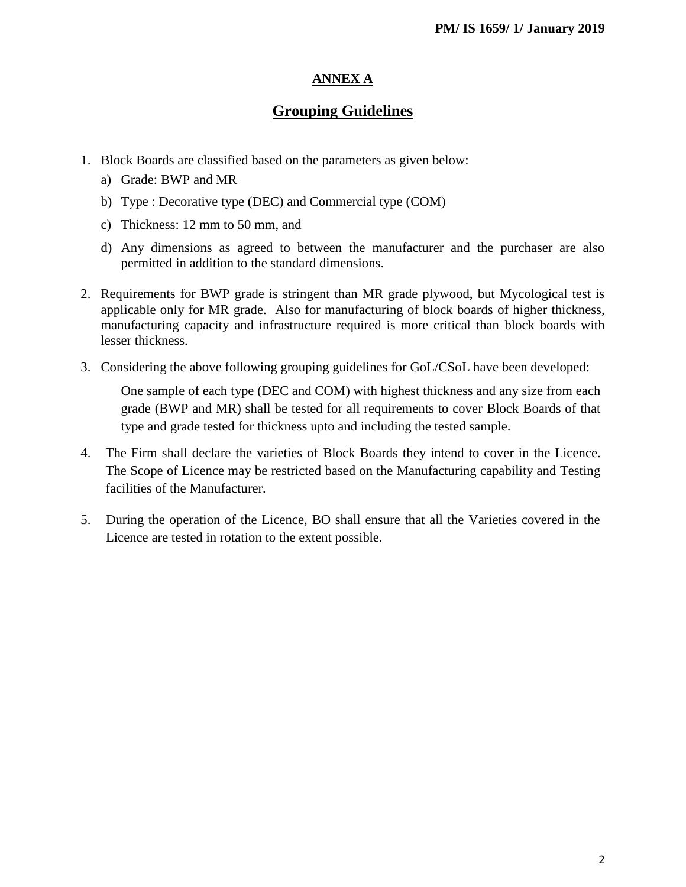## **ANNEX A**

## **Grouping Guidelines**

- 1. Block Boards are classified based on the parameters as given below:
	- a) Grade: BWP and MR
	- b) Type : Decorative type (DEC) and Commercial type (COM)
	- c) Thickness: 12 mm to 50 mm, and
	- d) Any dimensions as agreed to between the manufacturer and the purchaser are also permitted in addition to the standard dimensions.
- 2. Requirements for BWP grade is stringent than MR grade plywood, but Mycological test is applicable only for MR grade. Also for manufacturing of block boards of higher thickness, manufacturing capacity and infrastructure required is more critical than block boards with lesser thickness.
- 3. Considering the above following grouping guidelines for GoL/CSoL have been developed:

One sample of each type (DEC and COM) with highest thickness and any size from each grade (BWP and MR) shall be tested for all requirements to cover Block Boards of that type and grade tested for thickness upto and including the tested sample.

- 4. The Firm shall declare the varieties of Block Boards they intend to cover in the Licence. The Scope of Licence may be restricted based on the Manufacturing capability and Testing facilities of the Manufacturer.
- 5. During the operation of the Licence, BO shall ensure that all the Varieties covered in the Licence are tested in rotation to the extent possible.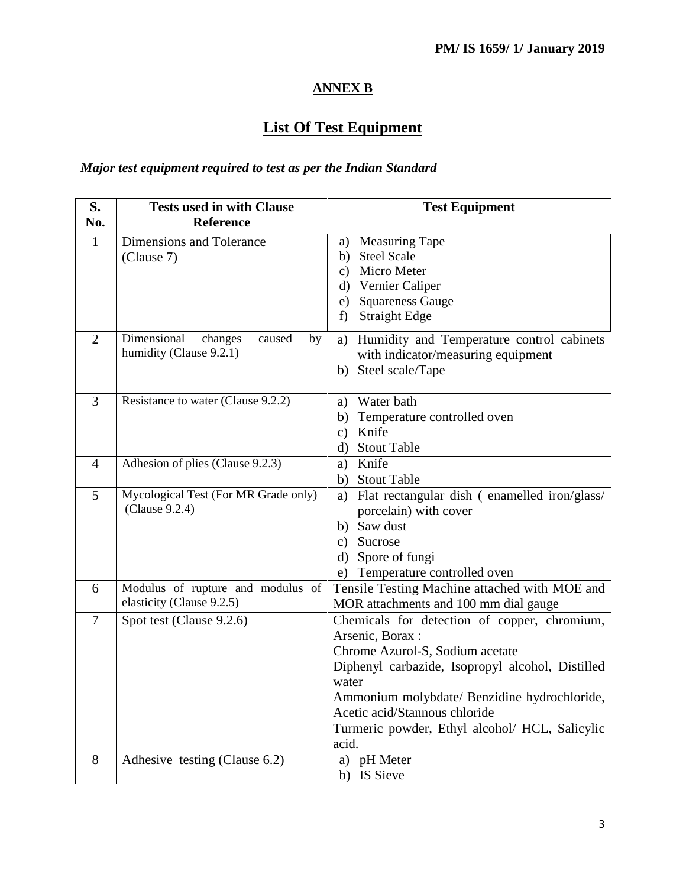#### **ANNEX B**

# **List Of Test Equipment**

#### <span id="page-2-0"></span>*Major test equipment required to test as per the Indian Standard*

| S.             | <b>Tests used in with Clause</b>       | <b>Test Equipment</b>                                     |  |  |  |  |
|----------------|----------------------------------------|-----------------------------------------------------------|--|--|--|--|
| No.            | <b>Reference</b>                       |                                                           |  |  |  |  |
| $\mathbf{1}$   | Dimensions and Tolerance<br>(Clause 7) | <b>Measuring Tape</b><br>a)<br><b>Steel Scale</b><br>b)   |  |  |  |  |
|                |                                        | Micro Meter<br>C)                                         |  |  |  |  |
|                |                                        | d) Vernier Caliper                                        |  |  |  |  |
|                |                                        | <b>Squareness Gauge</b><br>e)                             |  |  |  |  |
|                |                                        | <b>Straight Edge</b><br>f)                                |  |  |  |  |
| $\overline{2}$ | Dimensional<br>changes<br>caused<br>by | a) Humidity and Temperature control cabinets              |  |  |  |  |
|                | humidity (Clause 9.2.1)                | with indicator/measuring equipment                        |  |  |  |  |
|                |                                        | b) Steel scale/Tape                                       |  |  |  |  |
| 3              | Resistance to water (Clause 9.2.2)     | a) Water bath                                             |  |  |  |  |
|                |                                        | b) Temperature controlled oven                            |  |  |  |  |
|                |                                        | c) Knife                                                  |  |  |  |  |
|                |                                        | d) Stout Table                                            |  |  |  |  |
| 4              | Adhesion of plies (Clause 9.2.3)       | a) Knife                                                  |  |  |  |  |
|                |                                        | b) Stout Table                                            |  |  |  |  |
| 5              | Mycological Test (For MR Grade only)   | a) Flat rectangular dish (enamelled iron/glass/           |  |  |  |  |
|                | (Clause 9.2.4)                         | porcelain) with cover                                     |  |  |  |  |
|                |                                        | b) Saw dust                                               |  |  |  |  |
|                |                                        | c) Sucrose                                                |  |  |  |  |
|                |                                        | d) Spore of fungi                                         |  |  |  |  |
|                |                                        | Temperature controlled oven<br>e)                         |  |  |  |  |
| 6              | Modulus of rupture and modulus of      | Tensile Testing Machine attached with MOE and             |  |  |  |  |
|                | elasticity (Clause 9.2.5)              | MOR attachments and 100 mm dial gauge                     |  |  |  |  |
| $\overline{7}$ | Spot test (Clause 9.2.6)               | Chemicals for detection of copper, chromium,              |  |  |  |  |
|                |                                        | Arsenic, Borax:                                           |  |  |  |  |
|                |                                        | Chrome Azurol-S, Sodium acetate                           |  |  |  |  |
|                |                                        | Diphenyl carbazide, Isopropyl alcohol, Distilled<br>water |  |  |  |  |
|                |                                        | Ammonium molybdate/ Benzidine hydrochloride,              |  |  |  |  |
|                |                                        | Acetic acid/Stannous chloride                             |  |  |  |  |
|                |                                        | Turmeric powder, Ethyl alcohol/ HCL, Salicylic            |  |  |  |  |
|                |                                        | acid.                                                     |  |  |  |  |
| 8              | Adhesive testing (Clause 6.2)          | a) pH Meter                                               |  |  |  |  |
|                |                                        | b) IS Sieve                                               |  |  |  |  |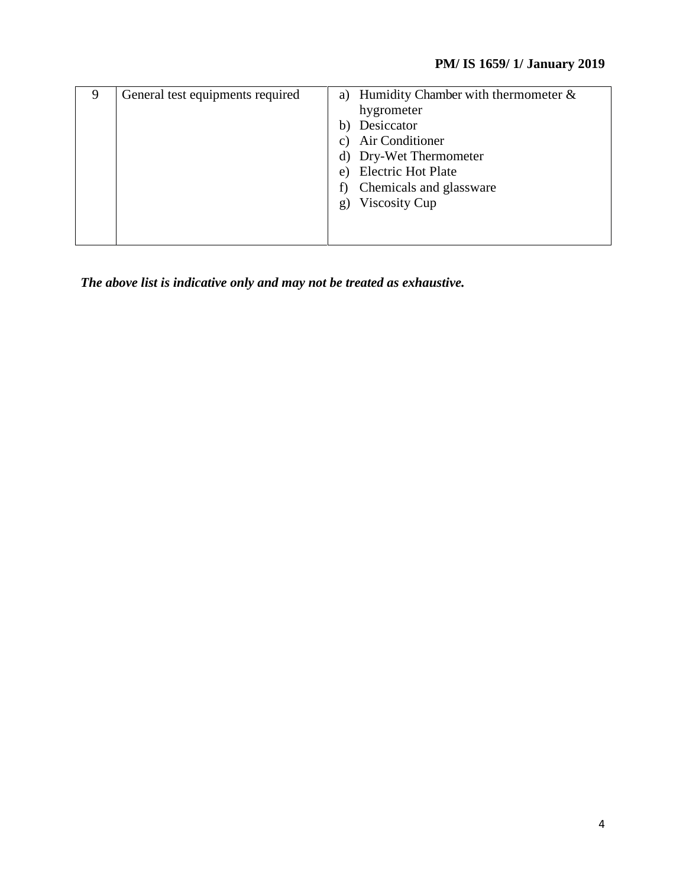| 9 | General test equipments required | a) Humidity Chamber with thermometer $\&$ |
|---|----------------------------------|-------------------------------------------|
|   |                                  | hygrometer                                |
|   |                                  | Desiccator<br>b)                          |
|   |                                  | <b>Air Conditioner</b><br>C)              |
|   |                                  | d) Dry-Wet Thermometer                    |
|   |                                  | <b>Electric Hot Plate</b><br>e)           |
|   |                                  | Chemicals and glassware                   |
|   |                                  | Viscosity Cup<br>g)                       |
|   |                                  |                                           |
|   |                                  |                                           |

*The above list is indicative only and may not be treated as exhaustive.*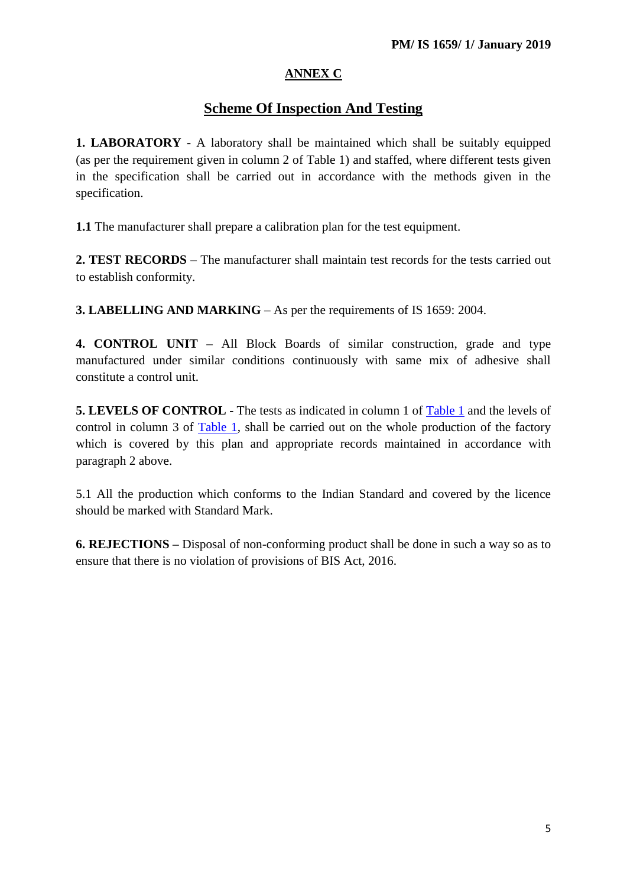#### **ANNEX C**

### **Scheme Of Inspection And Testing**

<span id="page-4-0"></span>**1. LABORATORY** - A laboratory shall be maintained which shall be suitably equipped (as per the requirement given in column 2 of Table 1) and staffed, where different tests given in the specification shall be carried out in accordance with the methods given in the specification.

**1.1** The manufacturer shall prepare a calibration plan for the test equipment.

**2. TEST RECORDS** – The manufacturer shall maintain test records for the tests carried out to establish conformity.

**3. LABELLING AND MARKING** – As per the requirements of IS 1659: 2004.

**4. CONTROL UNIT –** All Block Boards of similar construction, grade and type manufactured under similar conditions continuously with same mix of adhesive shall constitute a control unit.

**5. LEVELS OF CONTROL -** The tests as indicated in column 1 of [Table 1](#page-5-0) and the levels of control in column 3 of [Table 1,](#page-5-0) shall be carried out on the whole production of the factory which is covered by this plan and appropriate records maintained in accordance with paragraph 2 above.

5.1 All the production which conforms to the Indian Standard and covered by the licence should be marked with Standard Mark.

**6. REJECTIONS –** Disposal of non-conforming product shall be done in such a way so as to ensure that there is no violation of provisions of BIS Act, 2016.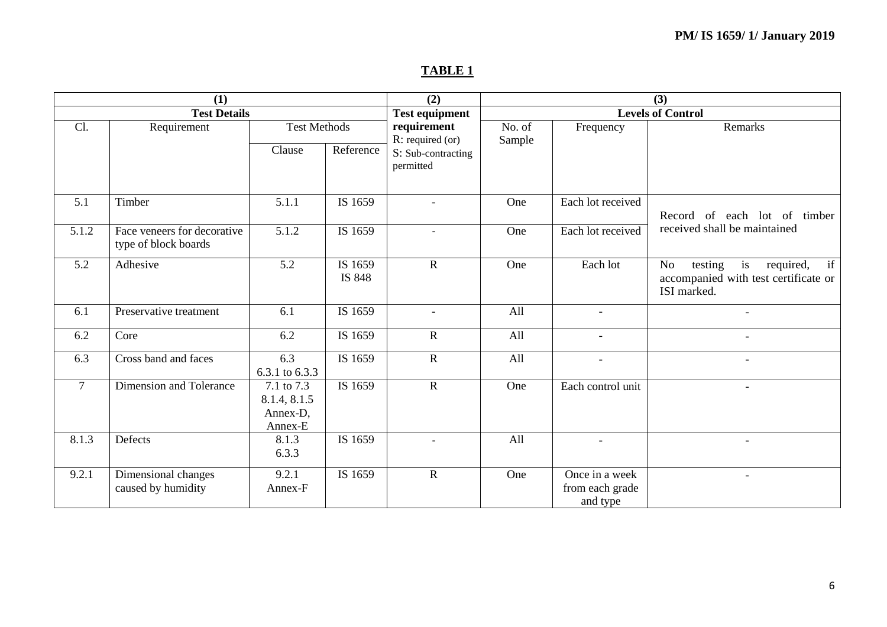# **TABLE 1**

<span id="page-5-0"></span>

| (1)                 |                                                     |                                                   |                   | (2)                             | (3)<br><b>Levels of Control</b> |                                               |                                                                                                           |  |
|---------------------|-----------------------------------------------------|---------------------------------------------------|-------------------|---------------------------------|---------------------------------|-----------------------------------------------|-----------------------------------------------------------------------------------------------------------|--|
| <b>Test Details</b> |                                                     |                                                   |                   | <b>Test equipment</b>           |                                 |                                               |                                                                                                           |  |
| Cl.                 | Requirement                                         | <b>Test Methods</b>                               |                   | requirement<br>R: required (or) | No. of<br>Sample                | Frequency                                     | Remarks                                                                                                   |  |
|                     |                                                     | Clause                                            | Reference         | S: Sub-contracting<br>permitted |                                 |                                               |                                                                                                           |  |
| 5.1                 | Timber                                              | 5.1.1                                             | IS 1659           | $\overline{a}$                  | One                             | Each lot received                             | Record of each lot of timber                                                                              |  |
| 5.1.2               | Face veneers for decorative<br>type of block boards | 5.1.2                                             | IS 1659           |                                 | One                             | Each lot received                             | received shall be maintained                                                                              |  |
| 5.2                 | Adhesive                                            | 5.2                                               | IS 1659<br>IS 848 | $\mathbf R$                     | One                             | Each lot                                      | if<br>N <sub>o</sub><br>testing<br>is<br>required,<br>accompanied with test certificate or<br>ISI marked. |  |
| 6.1                 | Preservative treatment                              | 6.1                                               | IS 1659           | $\sim$                          | All                             | $\overline{\phantom{a}}$                      | $\blacksquare$                                                                                            |  |
| 6.2                 | Core                                                | 6.2                                               | IS 1659           | $\mathbf R$                     | All                             |                                               |                                                                                                           |  |
| 6.3                 | Cross band and faces                                | 6.3<br>6.3.1 to 6.3.3                             | IS 1659           | $\mathbf R$                     | All                             |                                               | $-$                                                                                                       |  |
| $\overline{7}$      | Dimension and Tolerance                             | 7.1 to 7.3<br>8.1.4, 8.1.5<br>Annex-D,<br>Annex-E | IS 1659           | $\overline{R}$                  | One                             | Each control unit                             |                                                                                                           |  |
| 8.1.3               | Defects                                             | 8.1.3<br>6.3.3                                    | IS 1659           | $\overline{\phantom{a}}$        | All                             | $\sim$                                        | $\overline{\phantom{0}}$                                                                                  |  |
| 9.2.1               | Dimensional changes<br>caused by humidity           | 9.2.1<br>Annex-F                                  | IS 1659           | ${\bf R}$                       | One                             | Once in a week<br>from each grade<br>and type | $-$                                                                                                       |  |